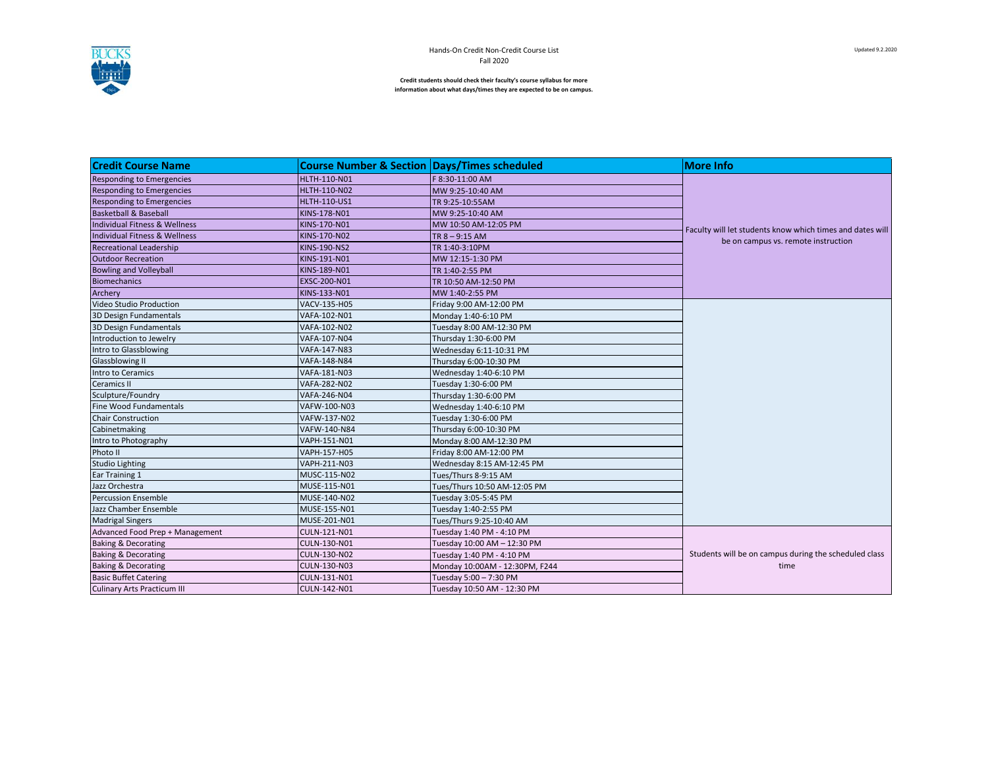

**Credit students should check their faculty's course syllabus for more information about what days/times they are expected to be on campus.**

| <b>Credit Course Name</b>          | <b>Course Number &amp; Section Days/Times scheduled</b> |                                | <b>More Info</b>                                                                                 |
|------------------------------------|---------------------------------------------------------|--------------------------------|--------------------------------------------------------------------------------------------------|
| <b>Responding to Emergencies</b>   | <b>HLTH-110-N01</b>                                     | F 8:30-11:00 AM                |                                                                                                  |
| <b>Responding to Emergencies</b>   | <b>HLTH-110-N02</b>                                     | MW 9:25-10:40 AM               |                                                                                                  |
| <b>Responding to Emergencies</b>   | <b>HLTH-110-US1</b>                                     | TR 9:25-10:55AM                |                                                                                                  |
| <b>Basketball &amp; Baseball</b>   | KINS-178-N01                                            | MW 9:25-10:40 AM               |                                                                                                  |
| Individual Fitness & Wellness      | KINS-170-N01                                            | MW 10:50 AM-12:05 PM           |                                                                                                  |
| Individual Fitness & Wellness      | KINS-170-N02                                            | TR $8 - 9:15$ AM               | Faculty will let students know which times and dates will<br>be on campus vs. remote instruction |
| <b>Recreational Leadership</b>     | <b>KINS-190-NS2</b>                                     | TR 1:40-3:10PM                 |                                                                                                  |
| <b>Outdoor Recreation</b>          | KINS-191-N01                                            | MW 12:15-1:30 PM               |                                                                                                  |
| <b>Bowling and Volleyball</b>      | KINS-189-N01                                            | TR 1:40-2:55 PM                |                                                                                                  |
| <b>Biomechanics</b>                | EXSC-200-N01                                            | TR 10:50 AM-12:50 PM           |                                                                                                  |
| Archery                            | KINS-133-N01                                            | MW 1:40-2:55 PM                |                                                                                                  |
| Video Studio Production            | VACV-135-H05                                            | Friday 9:00 AM-12:00 PM        |                                                                                                  |
| 3D Design Fundamentals             | VAFA-102-N01                                            | Monday 1:40-6:10 PM            |                                                                                                  |
| 3D Design Fundamentals             | VAFA-102-N02                                            | Tuesday 8:00 AM-12:30 PM       |                                                                                                  |
| Introduction to Jewelry            | VAFA-107-N04                                            | Thursday 1:30-6:00 PM          |                                                                                                  |
| Intro to Glassblowing              | VAFA-147-N83                                            | Wednesday 6:11-10:31 PM        |                                                                                                  |
| Glassblowing II                    | VAFA-148-N84                                            | Thursday 6:00-10:30 PM         |                                                                                                  |
| Intro to Ceramics                  | VAFA-181-N03                                            | Wednesday 1:40-6:10 PM         |                                                                                                  |
| <b>Ceramics II</b>                 | VAFA-282-N02                                            | Tuesday 1:30-6:00 PM           |                                                                                                  |
| Sculpture/Foundry                  | VAFA-246-N04                                            | Thursday 1:30-6:00 PM          |                                                                                                  |
| <b>Fine Wood Fundamentals</b>      | VAFW-100-N03                                            | Wednesday 1:40-6:10 PM         |                                                                                                  |
| <b>Chair Construction</b>          | VAFW-137-N02                                            | Tuesday 1:30-6:00 PM           |                                                                                                  |
| Cabinetmaking                      | VAFW-140-N84                                            | Thursday 6:00-10:30 PM         |                                                                                                  |
| Intro to Photography               | VAPH-151-N01                                            | Monday 8:00 AM-12:30 PM        |                                                                                                  |
| Photo II                           | VAPH-157-H05                                            | Friday 8:00 AM-12:00 PM        |                                                                                                  |
| <b>Studio Lighting</b>             | VAPH-211-N03                                            | Wednesday 8:15 AM-12:45 PM     |                                                                                                  |
| Ear Training 1                     | MUSC-115-N02                                            | Tues/Thurs 8-9:15 AM           |                                                                                                  |
| Jazz Orchestra                     | MUSE-115-N01                                            | Tues/Thurs 10:50 AM-12:05 PM   |                                                                                                  |
| <b>Percussion Ensemble</b>         | MUSE-140-N02                                            | Tuesday 3:05-5:45 PM           |                                                                                                  |
| Jazz Chamber Ensemble              | MUSE-155-N01                                            | Tuesday 1:40-2:55 PM           |                                                                                                  |
| <b>Madrigal Singers</b>            | MUSE-201-N01                                            | Tues/Thurs 9:25-10:40 AM       |                                                                                                  |
| Advanced Food Prep + Management    | <b>CULN-121-N01</b>                                     | Tuesday 1:40 PM - 4:10 PM      |                                                                                                  |
| <b>Baking &amp; Decorating</b>     | CULN-130-N01                                            | Tuesday 10:00 AM - 12:30 PM    |                                                                                                  |
| <b>Baking &amp; Decorating</b>     | CULN-130-N02                                            | Tuesday 1:40 PM - 4:10 PM      | Students will be on campus during the scheduled class                                            |
| <b>Baking &amp; Decorating</b>     | CULN-130-N03                                            | Monday 10:00AM - 12:30PM, F244 | time                                                                                             |
| <b>Basic Buffet Catering</b>       | CULN-131-N01                                            | Tuesday 5:00 - 7:30 PM         |                                                                                                  |
| <b>Culinary Arts Practicum III</b> | CULN-142-N01                                            | Tuesday 10:50 AM - 12:30 PM    |                                                                                                  |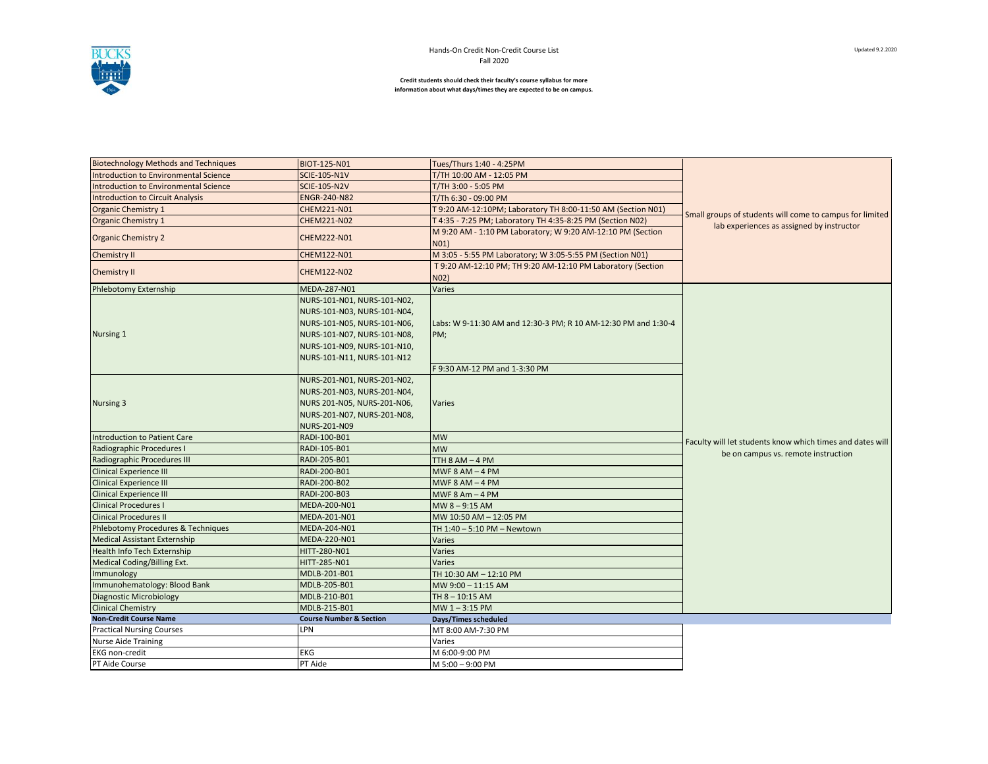

**Credit students should check their faculty's course syllabus for more information about what days/times they are expected to be on campus.**

| <b>Biotechnology Methods and Techniques</b>                    | BIOT-125-N01                       | Tues/Thurs 1:40 - 4:25PM                                            |                                                                                                       |  |
|----------------------------------------------------------------|------------------------------------|---------------------------------------------------------------------|-------------------------------------------------------------------------------------------------------|--|
| <b>Introduction to Environmental Science</b>                   | <b>SCIE-105-N1V</b>                | T/TH 10:00 AM - 12:05 PM                                            |                                                                                                       |  |
| Introduction to Environmental Science<br><b>SCIE-105-N2V</b>   |                                    | T/TH 3:00 - 5:05 PM                                                 |                                                                                                       |  |
| <b>Introduction to Circuit Analysis</b><br><b>ENGR-240-N82</b> |                                    | T/Th 6:30 - 09:00 PM                                                |                                                                                                       |  |
| <b>Organic Chemistry 1</b>                                     | CHEM221-N01                        | T 9:20 AM-12:10PM; Laboratory TH 8:00-11:50 AM (Section N01)        | Small groups of students will come to campus for limited<br>lab experiences as assigned by instructor |  |
| <b>Organic Chemistry 1</b>                                     | CHEM221-N02                        | T 4:35 - 7:25 PM; Laboratory TH 4:35-8:25 PM (Section N02)          |                                                                                                       |  |
| <b>Organic Chemistry 2</b>                                     | CHEM222-N01                        | M 9:20 AM - 1:10 PM Laboratory; W 9:20 AM-12:10 PM (Section<br>N01) |                                                                                                       |  |
| Chemistry II                                                   | CHEM122-N01                        | M 3:05 - 5:55 PM Laboratory; W 3:05-5:55 PM (Section N01)           |                                                                                                       |  |
| <b>Chemistry II</b>                                            | <b>CHEM122-N02</b>                 | T 9:20 AM-12:10 PM; TH 9:20 AM-12:10 PM Laboratory (Section<br>N02) |                                                                                                       |  |
| <b>Phlebotomy Externship</b>                                   | MEDA-287-N01                       | Varies                                                              |                                                                                                       |  |
|                                                                | NURS-101-N01, NURS-101-N02,        |                                                                     |                                                                                                       |  |
|                                                                | NURS-101-N03, NURS-101-N04,        |                                                                     |                                                                                                       |  |
|                                                                | NURS-101-N05, NURS-101-N06,        | Labs: W 9-11:30 AM and 12:30-3 PM; R 10 AM-12:30 PM and 1:30-4      |                                                                                                       |  |
| Nursing 1                                                      | NURS-101-N07, NURS-101-N08,        | PM;                                                                 |                                                                                                       |  |
|                                                                | NURS-101-N09, NURS-101-N10,        |                                                                     |                                                                                                       |  |
|                                                                | NURS-101-N11, NURS-101-N12         |                                                                     |                                                                                                       |  |
|                                                                |                                    | F 9:30 AM-12 PM and 1-3:30 PM                                       |                                                                                                       |  |
|                                                                | NURS-201-N01, NURS-201-N02,        |                                                                     |                                                                                                       |  |
|                                                                | NURS-201-N03, NURS-201-N04,        |                                                                     |                                                                                                       |  |
| Nursing 3                                                      | NURS 201-N05, NURS-201-N06,        | <b>Varies</b>                                                       |                                                                                                       |  |
|                                                                | NURS-201-N07, NURS-201-N08,        |                                                                     |                                                                                                       |  |
|                                                                | NURS-201-N09                       |                                                                     |                                                                                                       |  |
| <b>Introduction to Patient Care</b>                            | RADI-100-B01                       | <b>MW</b>                                                           |                                                                                                       |  |
| Radiographic Procedures I                                      | RADI-105-B01                       | <b>MW</b>                                                           | Faculty will let students know which times and dates will                                             |  |
| Radiographic Procedures III                                    | RADI-205-B01                       | TTH 8 AM - 4 PM                                                     | be on campus vs. remote instruction                                                                   |  |
| <b>Clinical Experience III</b>                                 | RADI-200-B01                       | MWF $8$ AM $-$ 4 PM                                                 |                                                                                                       |  |
| <b>Clinical Experience III</b>                                 | RADI-200-B02                       | MWF $8$ AM $-$ 4 PM                                                 |                                                                                                       |  |
| <b>Clinical Experience III</b>                                 | RADI-200-B03                       | MWF $8$ Am $-$ 4 PM                                                 |                                                                                                       |  |
| <b>Clinical Procedures I</b>                                   | MEDA-200-N01                       | MW 8-9:15 AM                                                        |                                                                                                       |  |
| <b>Clinical Procedures II</b>                                  | MEDA-201-N01                       | MW 10:50 AM - 12:05 PM                                              |                                                                                                       |  |
| Phlebotomy Procedures & Techniques                             | MEDA-204-N01                       | TH 1:40 - 5:10 PM - Newtown                                         |                                                                                                       |  |
| <b>Medical Assistant Externship</b>                            | MEDA-220-N01                       | Varies                                                              |                                                                                                       |  |
| <b>Health Info Tech Externship</b>                             | HITT-280-N01                       | Varies                                                              |                                                                                                       |  |
| Medical Coding/Billing Ext.                                    | HITT-285-N01                       | Varies                                                              |                                                                                                       |  |
| Immunology                                                     | MDLB-201-B01                       | TH 10:30 AM - 12:10 PM                                              |                                                                                                       |  |
| Immunohematology: Blood Bank                                   | MDLB-205-B01                       | MW 9:00 - 11:15 AM                                                  |                                                                                                       |  |
| <b>Diagnostic Microbiology</b>                                 | MDLB-210-B01                       | TH 8 - 10:15 AM                                                     |                                                                                                       |  |
| <b>Clinical Chemistry</b>                                      | MDLB-215-B01                       | MW 1-3:15 PM                                                        |                                                                                                       |  |
| <b>Non-Credit Course Name</b>                                  | <b>Course Number &amp; Section</b> | Days/Times scheduled                                                |                                                                                                       |  |
| <b>Practical Nursing Courses</b>                               | LPN                                | MT 8:00 AM-7:30 PM                                                  |                                                                                                       |  |
| <b>Nurse Aide Training</b>                                     |                                    | Varies                                                              |                                                                                                       |  |
| <b>EKG</b> non-credit                                          | EKG                                | M 6:00-9:00 PM                                                      |                                                                                                       |  |
| PT Aide Course                                                 | PT Aide                            | M 5:00 - 9:00 PM                                                    |                                                                                                       |  |